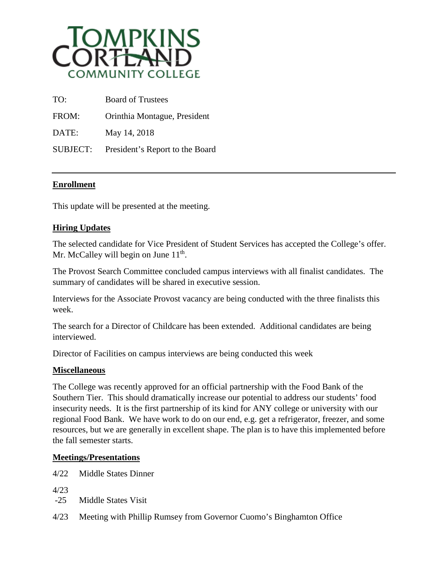

| TO:             | <b>Board of Trustees</b>        |
|-----------------|---------------------------------|
| FROM:           | Orinthia Montague, President    |
| DATE:           | May 14, 2018                    |
| <b>SUBJECT:</b> | President's Report to the Board |

## **Enrollment**

This update will be presented at the meeting.

## **Hiring Updates**

The selected candidate for Vice President of Student Services has accepted the College's offer. Mr. McCalley will begin on June  $11<sup>th</sup>$ .

The Provost Search Committee concluded campus interviews with all finalist candidates. The summary of candidates will be shared in executive session.

Interviews for the Associate Provost vacancy are being conducted with the three finalists this week.

The search for a Director of Childcare has been extended. Additional candidates are being interviewed.

Director of Facilities on campus interviews are being conducted this week

## **Miscellaneous**

The College was recently approved for an official partnership with the Food Bank of the Southern Tier. This should dramatically increase our potential to address our students' food insecurity needs. It is the first partnership of its kind for ANY college or university with our regional Food Bank. We have work to do on our end, e.g. get a refrigerator, freezer, and some resources, but we are generally in excellent shape. The plan is to have this implemented before the fall semester starts.

## **Meetings/Presentations**

4/22 Middle States Dinner

4/23

- -25 Middle States Visit
- 4/23 Meeting with Phillip Rumsey from Governor Cuomo's Binghamton Office